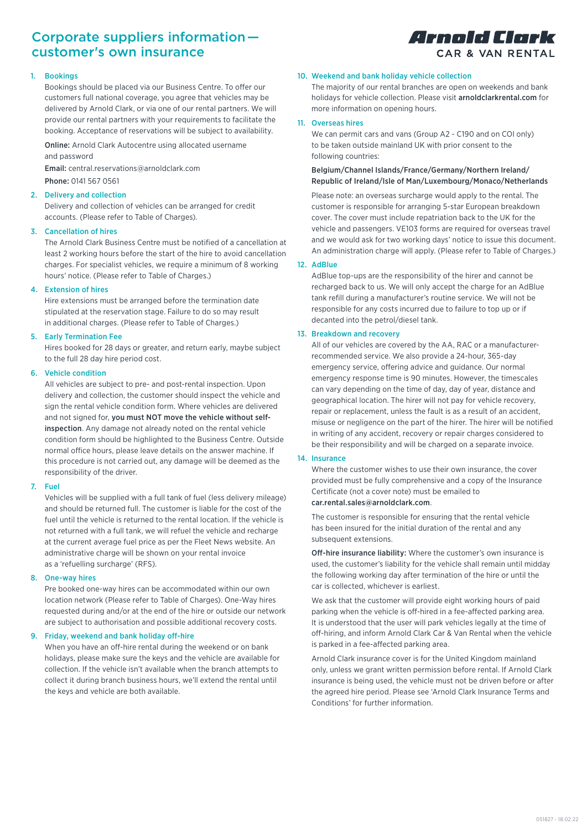# Corporate suppliers information  customer's own insurance

## 1. Bookings

Bookings should be placed via our Business Centre. To offer our customers full national coverage, you agree that vehicles may be delivered by Arnold Clark, or via one of our rental partners. We will provide our rental partners with your requirements to facilitate the booking. Acceptance of reservations will be subject to availability.

Online: Arnold Clark Autocentre using allocated username and password

Email: central.reservations@arnoldclark.com Phone: 0141 567 0561

## 2. Delivery and collection

Delivery and collection of vehicles can be arranged for credit accounts. (Please refer to Table of Charges).

## 3. Cancellation of hires

The Arnold Clark Business Centre must be notified of a cancellation at least 2 working hours before the start of the hire to avoid cancellation charges. For specialist vehicles, we require a minimum of 8 working hours' notice. (Please refer to Table of Charges.)

## 4. Extension of hires

Hire extensions must be arranged before the termination date stipulated at the reservation stage. Failure to do so may result in additional charges. (Please refer to Table of Charges.)

## 5. Early Termination Fee

Hires booked for 28 days or greater, and return early, maybe subject to the full 28 day hire period cost.

## 6. Vehicle condition

All vehicles are subject to pre- and post-rental inspection. Upon delivery and collection, the customer should inspect the vehicle and sign the rental vehicle condition form. Where vehicles are delivered and not signed for, you must NOT move the vehicle without selfinspection. Any damage not already noted on the rental vehicle condition form should be highlighted to the Business Centre. Outside normal office hours, please leave details on the answer machine. If this procedure is not carried out, any damage will be deemed as the responsibility of the driver.

## 7. Fuel

Vehicles will be supplied with a full tank of fuel (less delivery mileage) and should be returned full. The customer is liable for the cost of the fuel until the vehicle is returned to the rental location. If the vehicle is not returned with a full tank, we will refuel the vehicle and recharge at the current average fuel price as per the Fleet News website. An administrative charge will be shown on your rental invoice as a 'refuelling surcharge' (RFS).

## 8. One-way hires

Pre booked one-way hires can be accommodated within our own location network (Please refer to Table of Charges). One-Way hires requested during and/or at the end of the hire or outside our network are subject to authorisation and possible additional recovery costs.

## 9. Friday, weekend and bank holiday off-hire

When you have an off-hire rental during the weekend or on bank holidays, please make sure the keys and the vehicle are available for collection. If the vehicle isn't available when the branch attempts to collect it during branch business hours, we'll extend the rental until the keys and vehicle are both available.



## 10. Weekend and bank holiday vehicle collection

The majority of our rental branches are open on weekends and bank holidays for vehicle collection. Please visit arnoldclarkrental.com for more information on opening hours.

# 11. Overseas hires

We can permit cars and vans (Group A2 - C190 and on COI only) to be taken outside mainland UK with prior consent to the following countries:

# Belgium/Channel Islands/France/Germany/Northern Ireland/ Republic of Ireland/Isle of Man/Luxembourg/Monaco/Netherlands

Please note: an overseas surcharge would apply to the rental. The customer is responsible for arranging 5-star European breakdown cover. The cover must include repatriation back to the UK for the vehicle and passengers. VE103 forms are required for overseas travel and we would ask for two working days' notice to issue this document. An administration charge will apply. (Please refer to Table of Charges.)

## 12. AdBlue

AdBlue top-ups are the responsibility of the hirer and cannot be recharged back to us. We will only accept the charge for an AdBlue tank refill during a manufacturer's routine service. We will not be responsible for any costs incurred due to failure to top up or if decanted into the petrol/diesel tank.

## 13. Breakdown and recovery

All of our vehicles are covered by the AA, RAC or a manufacturerrecommended service. We also provide a 24-hour, 365-day emergency service, offering advice and guidance. Our normal emergency response time is 90 minutes. However, the timescales can vary depending on the time of day, day of year, distance and geographical location. The hirer will not pay for vehicle recovery, repair or replacement, unless the fault is as a result of an accident, misuse or negligence on the part of the hirer. The hirer will be notified in writing of any accident, recovery or repair charges considered to be their responsibility and will be charged on a separate invoice.

## 14. Insurance

Where the customer wishes to use their own insurance, the cover provided must be fully comprehensive and a copy of the Insurance Certificate (not a cover note) must be emailed to car.rental.sales@arnoldclark.com.

The customer is responsible for ensuring that the rental vehicle has been insured for the initial duration of the rental and any subsequent extensions.

Off-hire insurance liability: Where the customer's own insurance is used, the customer's liability for the vehicle shall remain until midday the following working day after termination of the hire or until the car is collected, whichever is earliest.

We ask that the customer will provide eight working hours of paid parking when the vehicle is off-hired in a fee-affected parking area. It is understood that the user will park vehicles legally at the time of off-hiring, and inform Arnold Clark Car & Van Rental when the vehicle is parked in a fee-affected parking area.

Arnold Clark insurance cover is for the United Kingdom mainland only, unless we grant written permission before rental. If Arnold Clark insurance is being used, the vehicle must not be driven before or after the agreed hire period. Please see 'Arnold Clark Insurance Terms and Conditions' for further information.